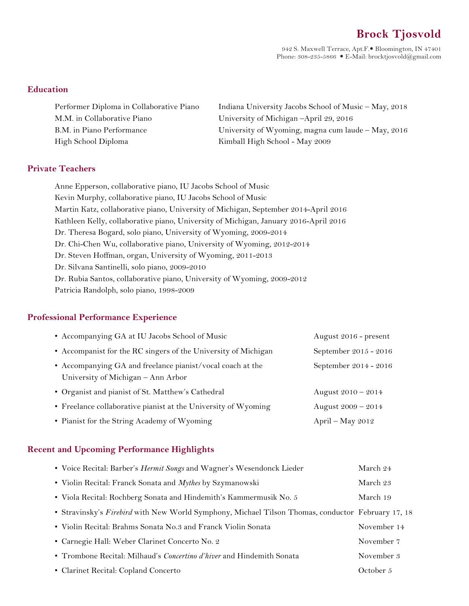# **Brock Tjosvold**

942 S. Maxwell Terrace, Apt.F. Bloomington, IN 47401 Phone:  $308-235-5866$  • E-Mail: brocktjosvold@gmail.com

#### **Education**

| Performer Diploma in Collaborative Piano | Indiana University Jacobs School of Music - May, 2018 |
|------------------------------------------|-------------------------------------------------------|
| M.M. in Collaborative Piano              | University of Michigan -April 29, 2016                |
| B.M. in Piano Performance                | University of Wyoming, magna cum laude - May, 2016    |
| High School Diploma                      | Kimball High School - May 2009                        |

#### **Private Teachers**

Anne Epperson, collaborative piano, IU Jacobs School of Music Kevin Murphy, collaborative piano, IU Jacobs School of Music Martin Katz, collaborative piano, University of Michigan, September 2014-April 2016 Kathleen Kelly, collaborative piano, University of Michigan, January 2016-April 2016 Dr. Theresa Bogard, solo piano, University of Wyoming, 2009-2014 Dr. Chi-Chen Wu, collaborative piano, University of Wyoming, 2012-2014 Dr. Steven Hoffman, organ, University of Wyoming, 2011-2013 Dr. Silvana Santinelli, solo piano, 2009-2010 Dr. Rubia Santos, collaborative piano, University of Wyoming, 2009-2012 Patricia Randolph, solo piano, 1998-2009

#### **Professional Performance Experience**

| • Accompanying GA at IU Jacobs School of Music                                                   | August 2016 - present |
|--------------------------------------------------------------------------------------------------|-----------------------|
| • Accompanist for the RC singers of the University of Michigan                                   | September 2015 - 2016 |
| • Accompanying GA and freelance pianist/vocal coach at the<br>University of Michigan – Ann Arbor | September 2014 - 2016 |
| • Organist and pianist of St. Matthew's Cathedral                                                | August $2010 - 2014$  |
| • Freelance collaborative pianist at the University of Wyoming                                   | August $2009 - 2014$  |
| • Pianist for the String Academy of Wyoming                                                      | April – May $2012$    |

#### **Recent and Upcoming Performance Highlights**

| • Voice Recital: Barber's Hermit Songs and Wagner's Wesendonck Lieder                             | March 24    |
|---------------------------------------------------------------------------------------------------|-------------|
| • Violin Recital: Franck Sonata and Mythes by Szymanowski                                         | March 23    |
| • Viola Recital: Rochberg Sonata and Hindemith's Kammermusik No. 5                                | March 19    |
| • Stravinsky's Firebird with New World Symphony, Michael Tilson Thomas, conductor February 17, 18 |             |
| • Violin Recital: Brahms Sonata No.3 and Franck Violin Sonata                                     | November 14 |
| • Carnegie Hall: Weber Clarinet Concerto No. 2                                                    | November 7  |
| • Trombone Recital: Milhaud's <i>Concertino d'hiver</i> and Hindemith Sonata                      | November 3  |
| • Clarinet Recital: Copland Concerto                                                              | October 5   |